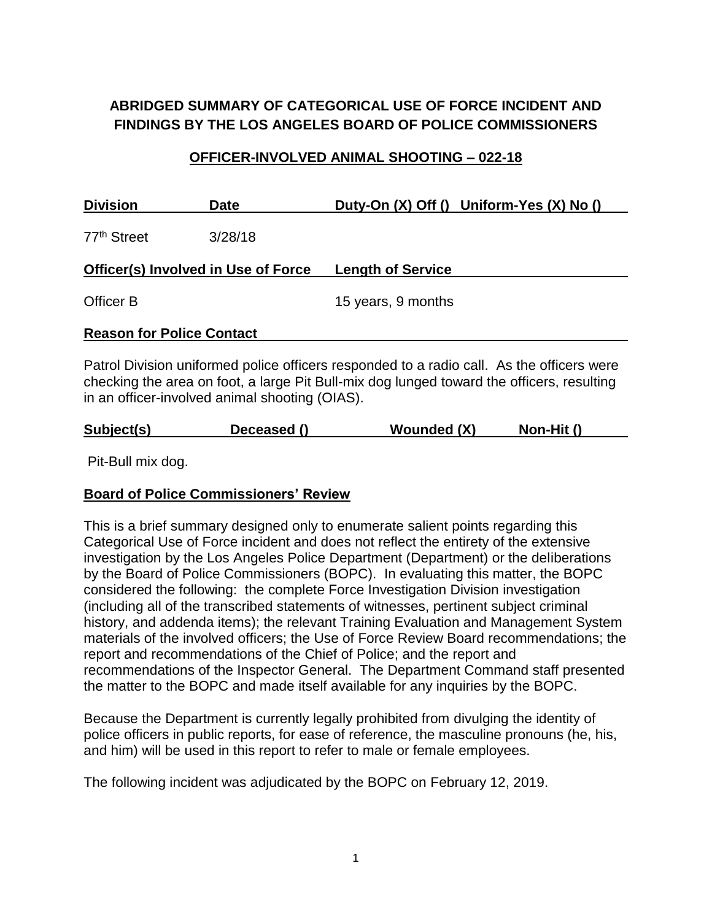# **ABRIDGED SUMMARY OF CATEGORICAL USE OF FORCE INCIDENT AND FINDINGS BY THE LOS ANGELES BOARD OF POLICE COMMISSIONERS**

#### **OFFICER-INVOLVED ANIMAL SHOOTING – 022-18**

| <b>Division</b>                     | <b>Date</b> | Duty-On (X) Off () Uniform-Yes (X) No ()                                                  |
|-------------------------------------|-------------|-------------------------------------------------------------------------------------------|
| 77 <sup>th</sup> Street             | 3/28/18     |                                                                                           |
| Officer(s) Involved in Use of Force |             | <b>Length of Service</b>                                                                  |
| Officer B                           |             | 15 years, 9 months                                                                        |
| <b>Reason for Police Contact</b>    |             |                                                                                           |
|                                     |             | Patrol Division uniformed police officers responded to a radio call. As the officers were |

checking the area on foot, a large Pit Bull-mix dog lunged toward the officers, resulting in an officer-involved animal shooting (OIAS).

| Subject(s) | Deceased () | <b>Wounded (X)</b> | Non-Hit () |  |
|------------|-------------|--------------------|------------|--|
|            |             |                    |            |  |

Pit-Bull mix dog.

#### **Board of Police Commissioners' Review**

This is a brief summary designed only to enumerate salient points regarding this Categorical Use of Force incident and does not reflect the entirety of the extensive investigation by the Los Angeles Police Department (Department) or the deliberations by the Board of Police Commissioners (BOPC). In evaluating this matter, the BOPC considered the following: the complete Force Investigation Division investigation (including all of the transcribed statements of witnesses, pertinent subject criminal history, and addenda items); the relevant Training Evaluation and Management System materials of the involved officers; the Use of Force Review Board recommendations; the report and recommendations of the Chief of Police; and the report and recommendations of the Inspector General. The Department Command staff presented the matter to the BOPC and made itself available for any inquiries by the BOPC.

Because the Department is currently legally prohibited from divulging the identity of police officers in public reports, for ease of reference, the masculine pronouns (he, his, and him) will be used in this report to refer to male or female employees.

The following incident was adjudicated by the BOPC on February 12, 2019.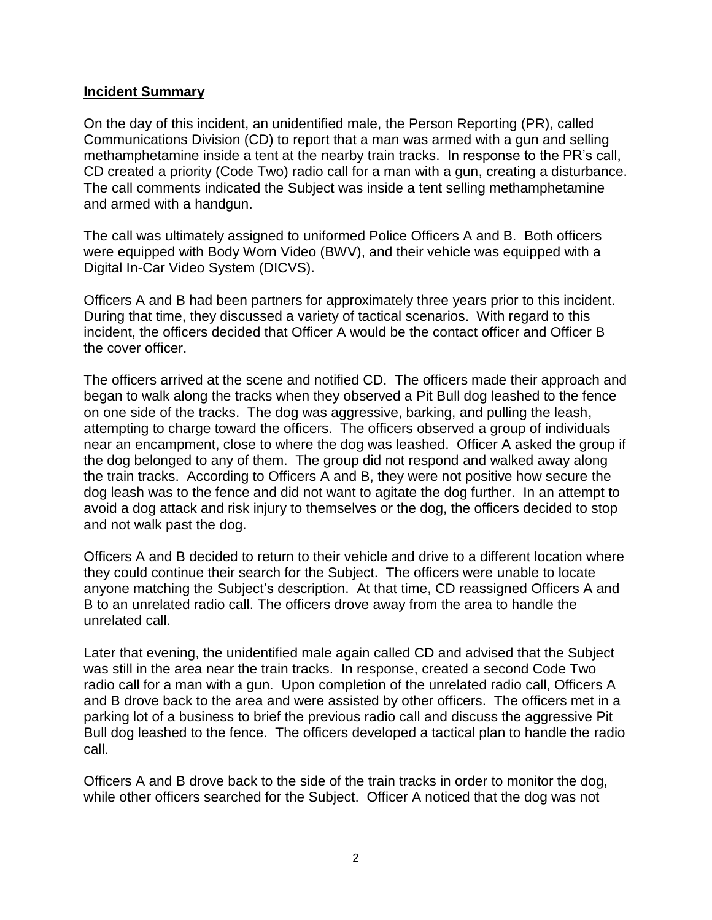#### **Incident Summary**

On the day of this incident, an unidentified male, the Person Reporting (PR), called Communications Division (CD) to report that a man was armed with a gun and selling methamphetamine inside a tent at the nearby train tracks. In response to the PR's call, CD created a priority (Code Two) radio call for a man with a gun, creating a disturbance. The call comments indicated the Subject was inside a tent selling methamphetamine and armed with a handgun.

The call was ultimately assigned to uniformed Police Officers A and B. Both officers were equipped with Body Worn Video (BWV), and their vehicle was equipped with a Digital In-Car Video System (DICVS).

Officers A and B had been partners for approximately three years prior to this incident. During that time, they discussed a variety of tactical scenarios. With regard to this incident, the officers decided that Officer A would be the contact officer and Officer B the cover officer.

The officers arrived at the scene and notified CD. The officers made their approach and began to walk along the tracks when they observed a Pit Bull dog leashed to the fence on one side of the tracks. The dog was aggressive, barking, and pulling the leash, attempting to charge toward the officers. The officers observed a group of individuals near an encampment, close to where the dog was leashed. Officer A asked the group if the dog belonged to any of them. The group did not respond and walked away along the train tracks. According to Officers A and B, they were not positive how secure the dog leash was to the fence and did not want to agitate the dog further. In an attempt to avoid a dog attack and risk injury to themselves or the dog, the officers decided to stop and not walk past the dog.

Officers A and B decided to return to their vehicle and drive to a different location where they could continue their search for the Subject. The officers were unable to locate anyone matching the Subject's description. At that time, CD reassigned Officers A and B to an unrelated radio call. The officers drove away from the area to handle the unrelated call.

Later that evening, the unidentified male again called CD and advised that the Subject was still in the area near the train tracks. In response, created a second Code Two radio call for a man with a gun. Upon completion of the unrelated radio call, Officers A and B drove back to the area and were assisted by other officers. The officers met in a parking lot of a business to brief the previous radio call and discuss the aggressive Pit Bull dog leashed to the fence. The officers developed a tactical plan to handle the radio call.

Officers A and B drove back to the side of the train tracks in order to monitor the dog, while other officers searched for the Subject. Officer A noticed that the dog was not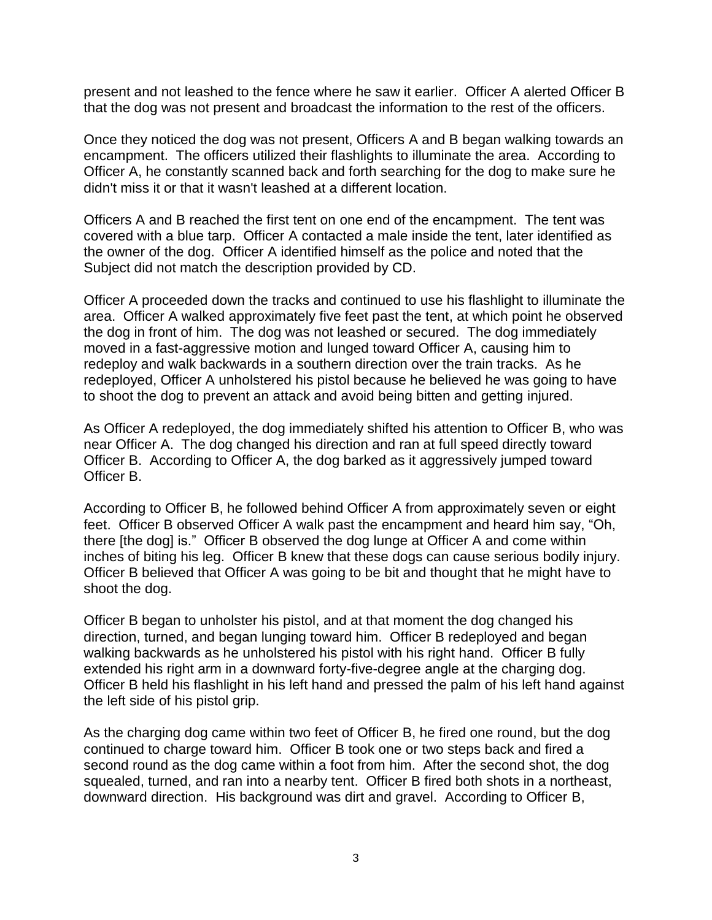present and not leashed to the fence where he saw it earlier. Officer A alerted Officer B that the dog was not present and broadcast the information to the rest of the officers.

Once they noticed the dog was not present, Officers A and B began walking towards an encampment. The officers utilized their flashlights to illuminate the area. According to Officer A, he constantly scanned back and forth searching for the dog to make sure he didn't miss it or that it wasn't leashed at a different location.

Officers A and B reached the first tent on one end of the encampment. The tent was covered with a blue tarp. Officer A contacted a male inside the tent, later identified as the owner of the dog. Officer A identified himself as the police and noted that the Subject did not match the description provided by CD.

Officer A proceeded down the tracks and continued to use his flashlight to illuminate the area. Officer A walked approximately five feet past the tent, at which point he observed the dog in front of him. The dog was not leashed or secured. The dog immediately moved in a fast-aggressive motion and lunged toward Officer A, causing him to redeploy and walk backwards in a southern direction over the train tracks. As he redeployed, Officer A unholstered his pistol because he believed he was going to have to shoot the dog to prevent an attack and avoid being bitten and getting injured.

As Officer A redeployed, the dog immediately shifted his attention to Officer B, who was near Officer A. The dog changed his direction and ran at full speed directly toward Officer B. According to Officer A, the dog barked as it aggressively jumped toward Officer B.

According to Officer B, he followed behind Officer A from approximately seven or eight feet. Officer B observed Officer A walk past the encampment and heard him say, "Oh, there [the dog] is." Officer B observed the dog lunge at Officer A and come within inches of biting his leg. Officer B knew that these dogs can cause serious bodily injury. Officer B believed that Officer A was going to be bit and thought that he might have to shoot the dog.

Officer B began to unholster his pistol, and at that moment the dog changed his direction, turned, and began lunging toward him. Officer B redeployed and began walking backwards as he unholstered his pistol with his right hand. Officer B fully extended his right arm in a downward forty-five-degree angle at the charging dog. Officer B held his flashlight in his left hand and pressed the palm of his left hand against the left side of his pistol grip.

As the charging dog came within two feet of Officer B, he fired one round, but the dog continued to charge toward him. Officer B took one or two steps back and fired a second round as the dog came within a foot from him. After the second shot, the dog squealed, turned, and ran into a nearby tent. Officer B fired both shots in a northeast, downward direction. His background was dirt and gravel. According to Officer B,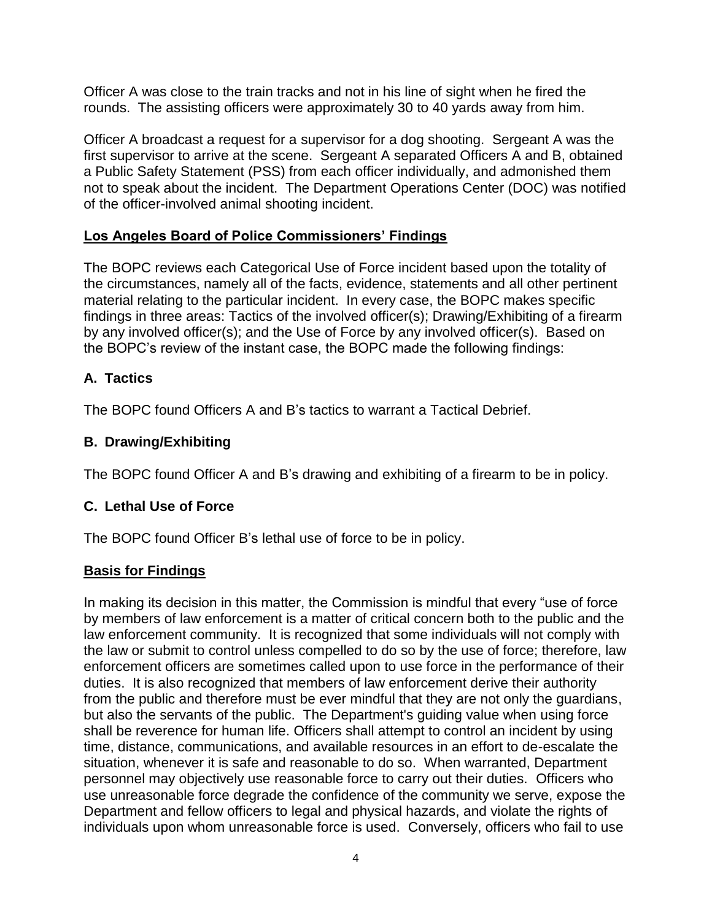Officer A was close to the train tracks and not in his line of sight when he fired the rounds. The assisting officers were approximately 30 to 40 yards away from him.

Officer A broadcast a request for a supervisor for a dog shooting. Sergeant A was the first supervisor to arrive at the scene. Sergeant A separated Officers A and B, obtained a Public Safety Statement (PSS) from each officer individually, and admonished them not to speak about the incident. The Department Operations Center (DOC) was notified of the officer-involved animal shooting incident.

### **Los Angeles Board of Police Commissioners' Findings**

The BOPC reviews each Categorical Use of Force incident based upon the totality of the circumstances, namely all of the facts, evidence, statements and all other pertinent material relating to the particular incident. In every case, the BOPC makes specific findings in three areas: Tactics of the involved officer(s); Drawing/Exhibiting of a firearm by any involved officer(s); and the Use of Force by any involved officer(s). Based on the BOPC's review of the instant case, the BOPC made the following findings:

# **A. Tactics**

The BOPC found Officers A and B's tactics to warrant a Tactical Debrief.

## **B. Drawing/Exhibiting**

The BOPC found Officer A and B's drawing and exhibiting of a firearm to be in policy.

## **C. Lethal Use of Force**

The BOPC found Officer B's lethal use of force to be in policy.

## **Basis for Findings**

In making its decision in this matter, the Commission is mindful that every "use of force by members of law enforcement is a matter of critical concern both to the public and the law enforcement community. It is recognized that some individuals will not comply with the law or submit to control unless compelled to do so by the use of force; therefore, law enforcement officers are sometimes called upon to use force in the performance of their duties. It is also recognized that members of law enforcement derive their authority from the public and therefore must be ever mindful that they are not only the guardians, but also the servants of the public. The Department's guiding value when using force shall be reverence for human life. Officers shall attempt to control an incident by using time, distance, communications, and available resources in an effort to de-escalate the situation, whenever it is safe and reasonable to do so. When warranted, Department personnel may objectively use reasonable force to carry out their duties. Officers who use unreasonable force degrade the confidence of the community we serve, expose the Department and fellow officers to legal and physical hazards, and violate the rights of individuals upon whom unreasonable force is used. Conversely, officers who fail to use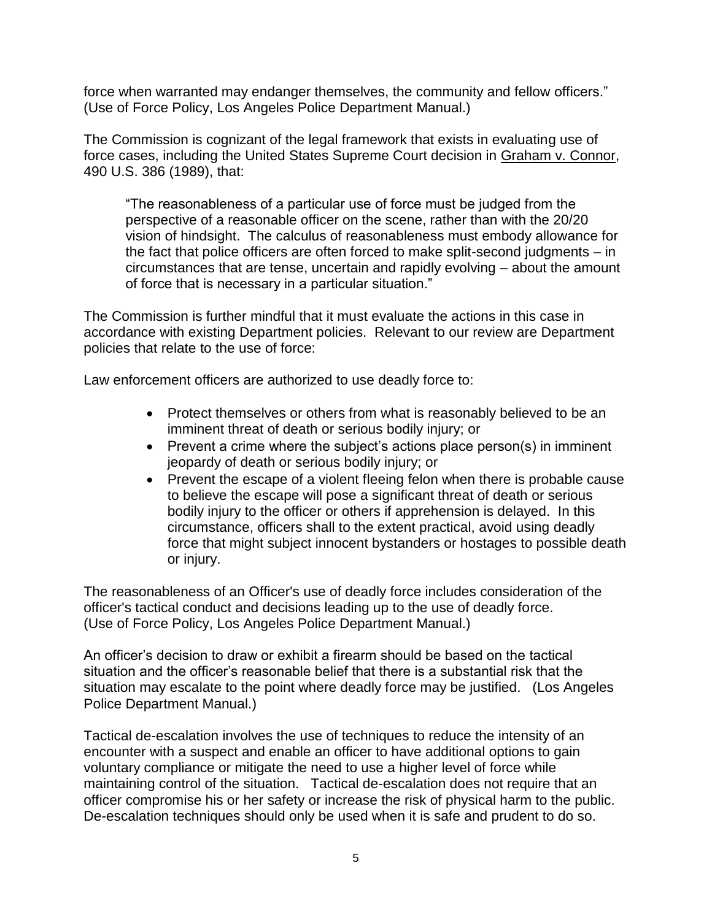force when warranted may endanger themselves, the community and fellow officers." (Use of Force Policy, Los Angeles Police Department Manual.)

The Commission is cognizant of the legal framework that exists in evaluating use of force cases, including the United States Supreme Court decision in Graham v. Connor, 490 U.S. 386 (1989), that:

"The reasonableness of a particular use of force must be judged from the perspective of a reasonable officer on the scene, rather than with the 20/20 vision of hindsight. The calculus of reasonableness must embody allowance for the fact that police officers are often forced to make split-second judgments – in circumstances that are tense, uncertain and rapidly evolving – about the amount of force that is necessary in a particular situation."

The Commission is further mindful that it must evaluate the actions in this case in accordance with existing Department policies. Relevant to our review are Department policies that relate to the use of force:

Law enforcement officers are authorized to use deadly force to:

- Protect themselves or others from what is reasonably believed to be an imminent threat of death or serious bodily injury; or
- Prevent a crime where the subject's actions place person(s) in imminent jeopardy of death or serious bodily injury; or
- Prevent the escape of a violent fleeing felon when there is probable cause to believe the escape will pose a significant threat of death or serious bodily injury to the officer or others if apprehension is delayed. In this circumstance, officers shall to the extent practical, avoid using deadly force that might subject innocent bystanders or hostages to possible death or injury.

The reasonableness of an Officer's use of deadly force includes consideration of the officer's tactical conduct and decisions leading up to the use of deadly force. (Use of Force Policy, Los Angeles Police Department Manual.)

An officer's decision to draw or exhibit a firearm should be based on the tactical situation and the officer's reasonable belief that there is a substantial risk that the situation may escalate to the point where deadly force may be justified. (Los Angeles Police Department Manual.)

Tactical de-escalation involves the use of techniques to reduce the intensity of an encounter with a suspect and enable an officer to have additional options to gain voluntary compliance or mitigate the need to use a higher level of force while maintaining control of the situation. Tactical de-escalation does not require that an officer compromise his or her safety or increase the risk of physical harm to the public. De-escalation techniques should only be used when it is safe and prudent to do so.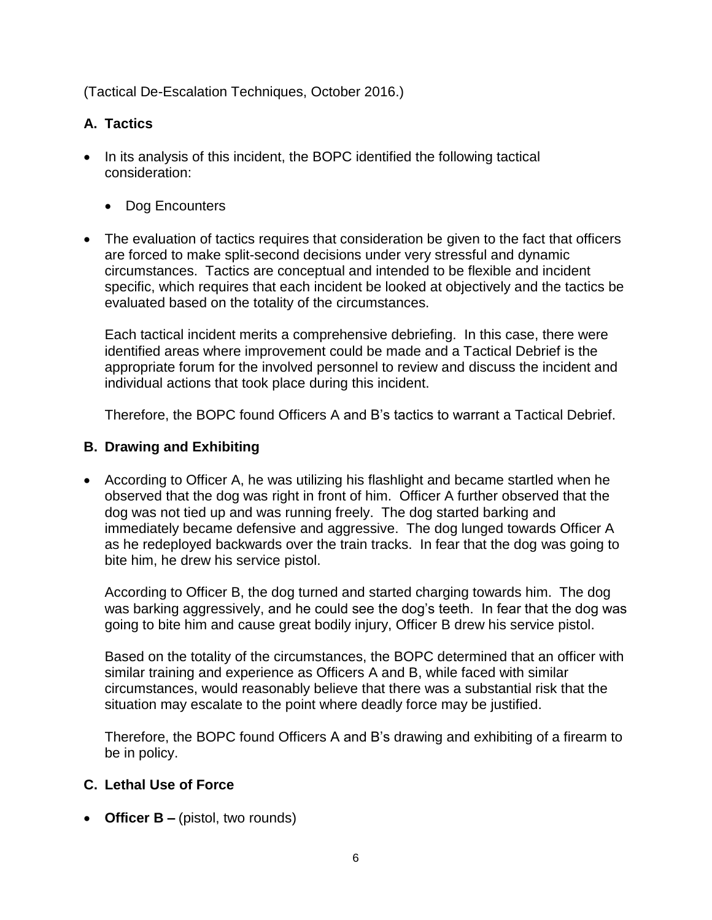(Tactical De-Escalation Techniques, October 2016.)

### **A. Tactics**

- In its analysis of this incident, the BOPC identified the following tactical consideration:
	- Dog Encounters
- The evaluation of tactics requires that consideration be given to the fact that officers are forced to make split-second decisions under very stressful and dynamic circumstances. Tactics are conceptual and intended to be flexible and incident specific, which requires that each incident be looked at objectively and the tactics be evaluated based on the totality of the circumstances.

Each tactical incident merits a comprehensive debriefing. In this case, there were identified areas where improvement could be made and a Tactical Debrief is the appropriate forum for the involved personnel to review and discuss the incident and individual actions that took place during this incident.

Therefore, the BOPC found Officers A and B's tactics to warrant a Tactical Debrief.

#### **B. Drawing and Exhibiting**

• According to Officer A, he was utilizing his flashlight and became startled when he observed that the dog was right in front of him. Officer A further observed that the dog was not tied up and was running freely. The dog started barking and immediately became defensive and aggressive. The dog lunged towards Officer A as he redeployed backwards over the train tracks. In fear that the dog was going to bite him, he drew his service pistol.

According to Officer B, the dog turned and started charging towards him. The dog was barking aggressively, and he could see the dog's teeth. In fear that the dog was going to bite him and cause great bodily injury, Officer B drew his service pistol.

Based on the totality of the circumstances, the BOPC determined that an officer with similar training and experience as Officers A and B, while faced with similar circumstances, would reasonably believe that there was a substantial risk that the situation may escalate to the point where deadly force may be justified.

Therefore, the BOPC found Officers A and B's drawing and exhibiting of a firearm to be in policy.

#### **C. Lethal Use of Force**

• **Officer B –** (pistol, two rounds)